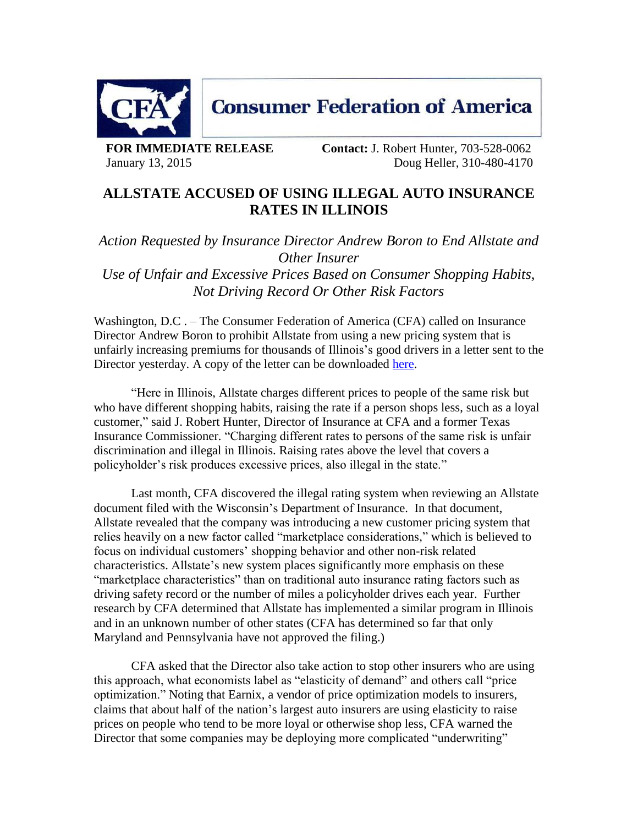

**FOR IMMEDIATE RELEASE Contact:** J. Robert Hunter, 703-528-0062 January 13, 2015 Doug Heller, 310-480-4170

## **ALLSTATE ACCUSED OF USING ILLEGAL AUTO INSURANCE RATES IN ILLINOIS**

*Action Requested by Insurance Director Andrew Boron to End Allstate and Other Insurer*

*Use of Unfair and Excessive Prices Based on Consumer Shopping Habits, Not Driving Record Or Other Risk Factors*

Washington, D.C. – The Consumer Federation of America (CFA) called on Insurance Director Andrew Boron to prohibit Allstate from using a new pricing system that is unfairly increasing premiums for thousands of Illinois's good drivers in a letter sent to the Director yesterday. A copy of the letter can be downloaded [here.](http://www.consumerfed.org/pdfs/Illinois-CFA-letter-PO-Allstate-1-12-2015.pdf)

"Here in Illinois, Allstate charges different prices to people of the same risk but who have different shopping habits, raising the rate if a person shops less, such as a loyal customer," said J. Robert Hunter, Director of Insurance at CFA and a former Texas Insurance Commissioner. "Charging different rates to persons of the same risk is unfair discrimination and illegal in Illinois. Raising rates above the level that covers a policyholder's risk produces excessive prices, also illegal in the state."

Last month, CFA discovered the illegal rating system when reviewing an Allstate document filed with the Wisconsin's Department of Insurance. In that document, Allstate revealed that the company was introducing a new customer pricing system that relies heavily on a new factor called "marketplace considerations," which is believed to focus on individual customers' shopping behavior and other non-risk related characteristics. Allstate's new system places significantly more emphasis on these "marketplace characteristics" than on traditional auto insurance rating factors such as driving safety record or the number of miles a policyholder drives each year. Further research by CFA determined that Allstate has implemented a similar program in Illinois and in an unknown number of other states (CFA has determined so far that only Maryland and Pennsylvania have not approved the filing.)

CFA asked that the Director also take action to stop other insurers who are using this approach, what economists label as "elasticity of demand" and others call "price optimization." Noting that Earnix, a vendor of price optimization models to insurers, claims that about half of the nation's largest auto insurers are using elasticity to raise prices on people who tend to be more loyal or otherwise shop less, CFA warned the Director that some companies may be deploying more complicated "underwriting"